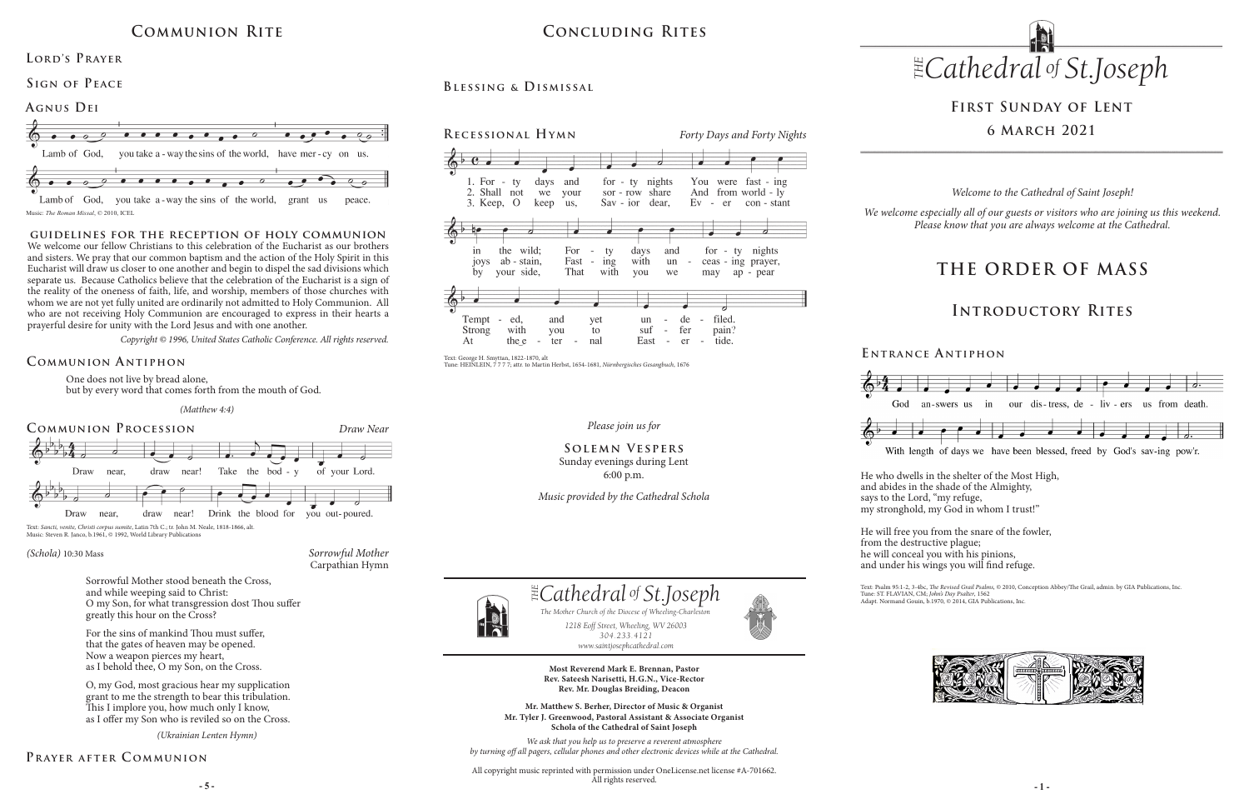#### *Please join us for*

### **Solemn Vespers** Sunday evenings during Lent 6:00 p.m.

*Music provided by the Cathedral Schola*

# **First Sunday of Lent 6 March 2021**

One does not live by bread alone,

but by every word that comes forth from the mouth of God.

### **Communion A ntiphon**

### **Prayer after C ommunion**

# **Concluding Rites**

### **Blessing & Dismissal**



*Sorrowful Mother* Carpathian Hymn

#### *(Schola)* 10:30 Mass

Sorrowful Mother stood beneath the Cross, and while weeping said to Christ: O my Son, for what transgression dost Thou suffer greatly this hour on the Cross?

Text: Psalm 95:1-2, 3-4bc, *The Revised Grail Psalms*, © 2010, Conception Abbey/The Grail, admin. by GIA Publications, Inc. Tune: ST. FLAVIAN, CM; *John's Day Psalter*, 1562 Adapt. Normand Gouin, b.1970, © 2014, GIA Publications, Inc.



For the sins of mankind Thou must suffer, that the gates of heaven may be opened. Now a weapon pierces my heart, as I behold thee, O my Son, on the Cross.

#### **Agnus Dei**  $\bullet$   $\bullet$   $\bullet$   $\bullet$   $\bullet$   $\bullet$   $\bullet$   $\circ$  $\bullet$   $\bullet$   $\bullet$  $\bullet$   $\bullet$   $\circ$ Lamb of God. vou take a - way the sins of the world, have mer - cy on us.  $\bullet$   $\bullet$   $\bullet$   $\bullet$   $\bullet$

Lamb of God, you take a -way the sins of the world, grant us peace. Music: *The Roman Missal*, © 2010, ICEL

> O, my God, most gracious hear my supplication grant to me the strength to bear this tribulation. This I implore you, how much only I know, as I offer my Son who is reviled so on the Cross.

**E ntrance A ntiphon**



With length of days we have been blessed, freed by God's sav-ing pow'r.

He who dwells in the shelter of the Most High, and abides in the shade of the Almighty, says to the Lord, "my refuge, my stronghold, my God in whom I trust!"

He will free you from the snare of the fowler, from the destructive plague; he will conceal you with his pinions, and under his wings you will find refuge.



# **Communion Rite**

### LORD'S PRAYER

**Sign of Peace** 



*(Ukrainian Lenten Hymn)*

# **THE ORDER OF MASS**

### **Introductory Rites**

*Welcome to the Cathedral of Saint Joseph!*

*We welcome especially all of our guests or visitors who are joining us this weekend. Please know that you are always welcome at the Cathedral.*

**- 5 - - 1 -** All copyright music reprinted with permission under OneLicense.net license #A-701662. All rights reserved.

![](_page_0_Figure_37.jpeg)

![](_page_0_Figure_38.jpeg)

Text: *Sancti, venite, Christi corpus sumite*, Latin 7th C.; tr. John M. Neale, 1818-1866, alt. Music: Steven R. Janco, b.1961, © 1992, World Library Publications

#### **guidelines for the reception of holy communion**

We welcome our fellow Christians to this celebration of the Eucharist as our brothers and sisters. We pray that our common baptism and the action of the Holy Spirit in this Eucharist will draw us closer to one another and begin to dispel the sad divisions which separate us. Because Catholics believe that the celebration of the Eucharist is a sign of the reality of the oneness of faith, life, and worship, members of those churches with whom we are not yet fully united are ordinarily not admitted to Holy Communion. All who are not receiving Holy Communion are encouraged to express in their hearts a prayerful desire for unity with the Lord Jesus and with one another.

*Copyright © 1996, United States Catholic Conference. All rights reserved.* 

Text: George H. Smyttan, 1822-1870, alt

Tune: HEINLEIN, 7 7 7 7; attr. to Martin Herbst, 1654-1681, *Nürnbergisches Gesangbuch*, 1676

![](_page_0_Picture_30.jpeg)

*1218 Eoff Street, Wheeling, WV 26003 304.233.4121 304.233.4121*

*www.saintjosephcathedral.com www.saintjosephcathedral.com* **Most Reverend Mark E. Brennan, Pastor**

 *Cathedral St THE of .Joseph*

The Mother Church of the Diocese of Wheeling-Charlest<br>1218 Eoff Street, Wheeling, WV 26003

**Rev. Sateesh Narisetti, H.G.N., Vice-Rector Rev. Mr. Douglas Breiding, Deacon**

**Mr. Matthew S. Berher, Director of Music & Organist Mr. Tyler J. Greenwood, Pastoral Assistant & Associate Organist Schola of the Cathedral of Saint Joseph**

*1218 Eoff Street, Wheeling, WV 26003 The Mother Church of the Diocese of Wheeling-Charleston*

*We ask that you help us to preserve a reverent atmosphere by turning off all pagers, cellular phones and other electronic devices while at the Cathedral.*